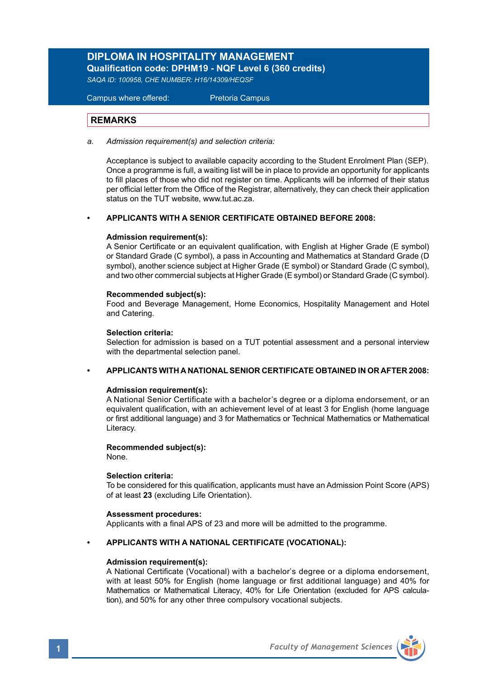### **DIPLOMA IN HOSPITALITY MANAGEMENT Qualification code: DPHM19 - NQF Level 6 (360 credits)**

*SAQA ID: 100958, CHE NUMBER: H16/14309/HEQSF*

Campus where offered: Pretoria Campus

### **REMARKS**

*a. Admission requirement(s) and selection criteria:*

Acceptance is subject to available capacity according to the Student Enrolment Plan (SEP). Once a programme is full, a waiting list will be in place to provide an opportunity for applicants to fill places of those who did not register on time. Applicants will be informed of their status per official letter from the Office of the Registrar, alternatively, they can check their application status on the TUT website, www.tut.ac.za.

### **• APPLICANTS WITH A SENIOR CERTIFICATE OBTAINED BEFORE 2008:**

### **Admission requirement(s):**

A Senior Certificate or an equivalent qualification, with English at Higher Grade (E symbol) or Standard Grade (C symbol), a pass in Accounting and Mathematics at Standard Grade (D symbol), another science subject at Higher Grade (E symbol) or Standard Grade (C symbol), and two other commercial subjects at Higher Grade (E symbol) or Standard Grade (C symbol).

### **Recommended subject(s):**

Food and Beverage Management, Home Economics, Hospitality Management and Hotel and Catering.

### **Selection criteria:**

Selection for admission is based on a TUT potential assessment and a personal interview with the departmental selection panel.

### **• APPLICANTS WITH A NATIONAL SENIOR CERTIFICATE OBTAINED IN OR AFTER 2008:**

### **Admission requirement(s):**

A National Senior Certificate with a bachelor's degree or a diploma endorsement, or an equivalent qualification, with an achievement level of at least 3 for English (home language or first additional language) and 3 for Mathematics or Technical Mathematics or Mathematical Literacy.

### **Recommended subject(s):**

None.

### **Selection criteria:**

To be considered for this qualification, applicants must have an Admission Point Score (APS) of at least **23** (excluding Life Orientation).

### **Assessment procedures:**

Applicants with a final APS of 23 and more will be admitted to the programme.

### **• APPLICANTS WITH A NATIONAL CERTIFICATE (VOCATIONAL):**

### **Admission requirement(s):**

A National Certificate (Vocational) with a bachelor's degree or a diploma endorsement, with at least 50% for English (home language or first additional language) and 40% for Mathematics or Mathematical Literacy, 40% for Life Orientation (excluded for APS calculation), and 50% for any other three compulsory vocational subjects.

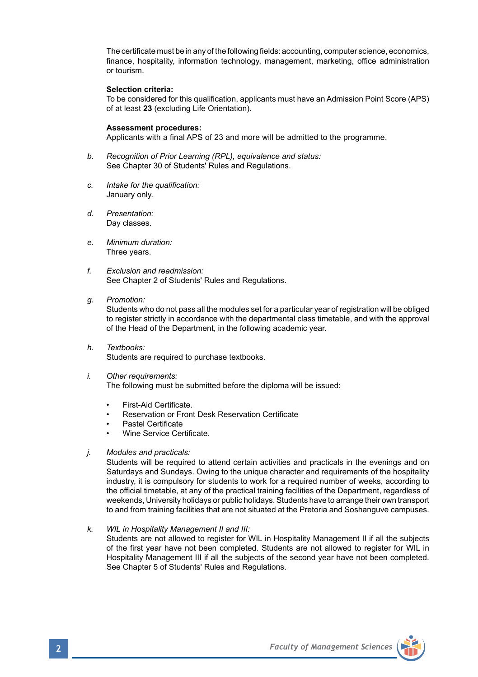The certificate must be in any of the following fields: accounting, computer science, economics, finance, hospitality, information technology, management, marketing, office administration or tourism.

### **Selection criteria:**

To be considered for this qualification, applicants must have an Admission Point Score (APS) of at least **23** (excluding Life Orientation).

### **Assessment procedures:**

Applicants with a final APS of 23 and more will be admitted to the programme.

- *b. Recognition of Prior Learning (RPL), equivalence and status:* See Chapter 30 of Students' Rules and Regulations.
- *c. Intake for the qualification:* January only.
- *d. Presentation:* Day classes.
- *e. Minimum duration:* Three years.
- *f. Exclusion and readmission:* See Chapter 2 of Students' Rules and Regulations.
- *g. Promotion:*

Students who do not pass all the modules set for a particular year of registration will be obliged to register strictly in accordance with the departmental class timetable, and with the approval of the Head of the Department, in the following academic year.

- *h. Textbooks:* Students are required to purchase textbooks.
- *i. Other requirements:*

The following must be submitted before the diploma will be issued:

- First-Aid Certificate.
- Reservation or Front Desk Reservation Certificate
- Pastel Certificate
- Wine Service Certificate.
- *j. Modules and practicals:*

Students will be required to attend certain activities and practicals in the evenings and on Saturdays and Sundays. Owing to the unique character and requirements of the hospitality industry, it is compulsory for students to work for a required number of weeks, according to the official timetable, at any of the practical training facilities of the Department, regardless of weekends, University holidays or public holidays. Students have to arrange their own transport to and from training facilities that are not situated at the Pretoria and Soshanguve campuses.

*k. WIL in Hospitality Management II and III:*

 Students are not allowed to register for WIL in Hospitality Management II if all the subjects of the first year have not been completed. Students are not allowed to register for WIL in Hospitality Management III if all the subjects of the second year have not been completed. See Chapter 5 of Students' Rules and Regulations.

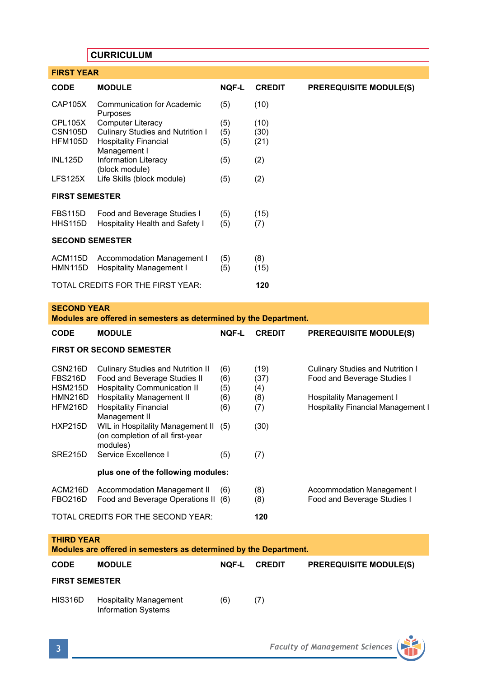# **CURRICULUM**

| <b>FIRST YEAR</b>                        |                                                        |              |               |                               |  |  |  |
|------------------------------------------|--------------------------------------------------------|--------------|---------------|-------------------------------|--|--|--|
| <b>CODE</b>                              | <b>MODULE</b>                                          | <b>NQF-L</b> | <b>CREDIT</b> | <b>PREREQUISITE MODULE(S)</b> |  |  |  |
| <b>CAP105X</b>                           | <b>Communication for Academic</b><br>Purposes          | (5)          | (10)          |                               |  |  |  |
| CPL105X                                  | <b>Computer Literacy</b>                               | (5)          | (10)          |                               |  |  |  |
| CSN <sub>105</sub> D                     | Culinary Studies and Nutrition I                       | (5)          | (30)          |                               |  |  |  |
| HFM105D                                  | <b>Hospitality Financial</b><br>Management I           | (5)          | (21)          |                               |  |  |  |
| <b>INL125D</b>                           | Information Literacy<br>(block module)                 | (5)          | (2)           |                               |  |  |  |
| LFS125X                                  | Life Skills (block module)                             | (5)          | (2)           |                               |  |  |  |
| <b>FIRST SEMESTER</b>                    |                                                        |              |               |                               |  |  |  |
| FBS115D                                  | Food and Beverage Studies I                            | (5)          | (15)          |                               |  |  |  |
| HHS115D                                  | Hospitality Health and Safety I                        | (5)          | (7)           |                               |  |  |  |
| <b>SECOND SEMESTER</b>                   |                                                        |              |               |                               |  |  |  |
| ACM115D<br><b>HMN115D</b>                | Accommodation Management I<br>Hospitality Management I | (5)<br>(5)   | (8)<br>(15)   |                               |  |  |  |
| TOTAL CREDITS FOR THE FIRST YEAR:<br>120 |                                                        |              |               |                               |  |  |  |

# **SECOND YEAR**

| Modules are offered in semesters as determined by the Department. |                                                                                                                 |                   |                     |                                                                              |  |  |  |  |
|-------------------------------------------------------------------|-----------------------------------------------------------------------------------------------------------------|-------------------|---------------------|------------------------------------------------------------------------------|--|--|--|--|
| <b>CODE</b>                                                       | <b>MODULE</b>                                                                                                   | <b>NQF-L</b>      | <b>CREDIT</b>       | <b>PREREQUISITE MODULE(S)</b>                                                |  |  |  |  |
| <b>FIRST OR SECOND SEMESTER</b>                                   |                                                                                                                 |                   |                     |                                                                              |  |  |  |  |
| CSN216D<br><b>FBS216D</b><br><b>HSM215D</b>                       | <b>Culinary Studies and Nutrition II</b><br>Food and Beverage Studies II<br><b>Hospitality Communication II</b> | (6)<br>(6)<br>(5) | (19)<br>(37)<br>(4) | Culinary Studies and Nutrition I<br>Food and Beverage Studies I              |  |  |  |  |
| <b>HMN216D</b><br>HFM216D                                         | <b>Hospitality Management II</b><br><b>Hospitality Financial</b><br>Management II                               | (6)<br>(6)        | (8)<br>(7)          | <b>Hospitality Management I</b><br><b>Hospitality Financial Management I</b> |  |  |  |  |
| <b>HXP215D</b>                                                    | WIL in Hospitality Management II<br>(on completion of all first-year<br>modules)                                | (5)               | (30)                |                                                                              |  |  |  |  |
| SRE215D                                                           | Service Excellence I                                                                                            | (5)               | (7)                 |                                                                              |  |  |  |  |
|                                                                   | plus one of the following modules:                                                                              |                   |                     |                                                                              |  |  |  |  |
| ACM216D<br><b>FBO216D</b>                                         | Accommodation Management II<br>Food and Beverage Operations II (6)                                              | (6)               | (8)<br>(8)          | Accommodation Management I<br>Food and Beverage Studies I                    |  |  |  |  |
|                                                                   | TOTAL CREDITS FOR THE SECOND YEAR:                                                                              | 120               |                     |                                                                              |  |  |  |  |

### **THIRD YEAR**

### **Modules are offered in semesters as determined by the Department.**

| <b>CODE</b>           | <b>MODULE</b>                                               | NOF-L | <b>CREDIT</b> | <b>PREREQUISITE MODULE(S)</b> |  |
|-----------------------|-------------------------------------------------------------|-------|---------------|-------------------------------|--|
| <b>FIRST SEMESTER</b> |                                                             |       |               |                               |  |
| HIS316D               | <b>Hospitality Management</b><br><b>Information Systems</b> | (6)   | (7)           |                               |  |

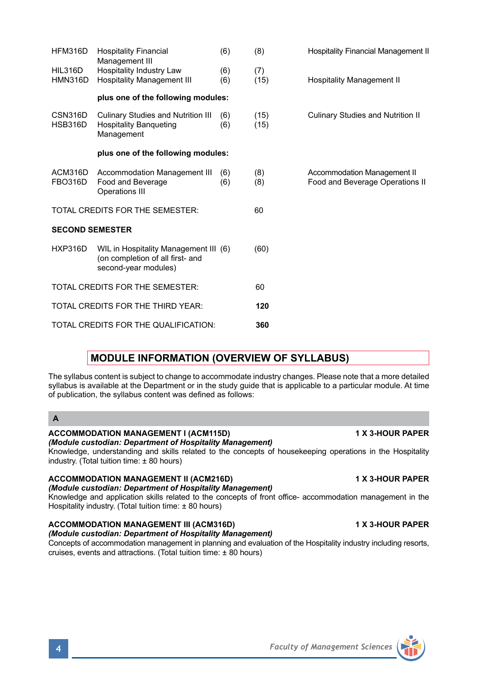HFM316D Hospitality Financial (6) (8) Hospitality Financial Management II Management III HIL316D Hospitality Industry Law (6) (7)<br>HMN316D Hospitality Management III (6) (15) HMN316D Hospitality Management III (6) (15) Hospitality Management II **plus one of the following modules:**  CSN316D Culinary Studies and Nutrition III (6) (15) Culinary Studies and Nutrition II Hospitality Banqueting Management **plus one of the following modules:**  ACM316D Accommodation Management III (6) (8) Accommodation Management II<br>
FBO316D Food and Beverage (6) (8) Food and Beverage Operations (6) (8) Food and Beverage Operations II Operations III TOTAL CREDITS FOR THE SEMESTER: 60 **SECOND SEMESTER** HXP316D WIL in Hospitality Management III (6) (60) (on completion of all first- and second-year modules) TOTAL CREDITS FOR THE SEMESTER: 60 TOTAL CREDITS FOR THE THIRD YEAR: **120** TOTAL CREDITS FOR THE QUALIFICATION: **360**

# **MODULE INFORMATION (OVERVIEW OF SYLLABUS)**

The syllabus content is subject to change to accommodate industry changes. Please note that a more detailed syllabus is available at the Department or in the study guide that is applicable to a particular module. At time of publication, the syllabus content was defined as follows:

**A**

### **ACCOMMODATION MANAGEMENT I (ACM115D) 1 X 3-HOUR PAPER**

*(Module custodian: Department of Hospitality Management)*

Knowledge, understanding and skills related to the concepts of housekeeping operations in the Hospitality industry. (Total tuition time: ± 80 hours)

ACCOMMODATION MANAGEMENT II (ACM216D) **1 X 3-HOUR PAPER** 

*(Module custodian: Department of Hospitality Management)*

Knowledge and application skills related to the concepts of front office- accommodation management in the Hospitality industry. (Total tuition time: ± 80 hours)

### ACCOMMODATION MANAGEMENT III (ACM316D) **1 X 3-HOUR PAPER** *(Module custodian: Department of Hospitality Management)*

Concepts of accommodation management in planning and evaluation of the Hospitality industry including resorts, cruises, events and attractions. (Total tuition time: ± 80 hours)

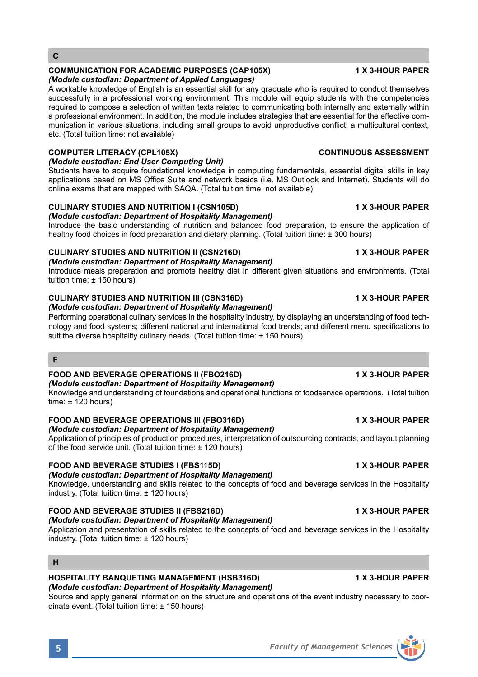# **COMMUNICATION FOR ACADEMIC PURPOSES (CAP105X) 1 X 3-HOUR PAPER**

### *(Module custodian: Department of Applied Languages)*

A workable knowledge of English is an essential skill for any graduate who is required to conduct themselves successfully in a professional working environment. This module will equip students with the competencies required to compose a selection of written texts related to communicating both internally and externally within a professional environment. In addition, the module includes strategies that are essential for the effective communication in various situations, including small groups to avoid unproductive conflict, a multicultural context, etc. (Total tuition time: not available)

# **COMPUTER LITERACY (CPL105X)** CONTINUOUS ASSESSMENT

# *(Module custodian: End User Computing Unit)*

Students have to acquire foundational knowledge in computing fundamentals, essential digital skills in key applications based on MS Office Suite and network basics (i.e. MS Outlook and Internet). Students will do online exams that are mapped with SAQA. (Total tuition time: not available)

# **CULINARY STUDIES AND NUTRITION I (CSN105D) 1 X 3-HOUR PAPER**

*(Module custodian: Department of Hospitality Management)*

Introduce the basic understanding of nutrition and balanced food preparation, to ensure the application of healthy food choices in food preparation and dietary planning. (Total tuition time:  $\pm$  300 hours)

### **CULINARY STUDIES AND NUTRITION II (CSN216D) 1 X 3-HOUR PAPER** *(Module custodian: Department of Hospitality Management)*

Introduce meals preparation and promote healthy diet in different given situations and environments. (Total tuition time: ± 150 hours)

# **CULINARY STUDIES AND NUTRITION III (CSN316D) 1 X 3-HOUR PAPER**

*(Module custodian: Department of Hospitality Management)* Performing operational culinary services in the hospitality industry, by displaying an understanding of food tech-

nology and food systems; different national and international food trends; and different menu specifications to suit the diverse hospitality culinary needs. (Total tuition time: ± 150 hours)

### **F**

# **FOOD AND BEVERAGE OPERATIONS II (FBO216D) 1 X 3-HOUR PAPER**

### *(Module custodian: Department of Hospitality Management)*

Knowledge and understanding of foundations and operational functions of foodservice operations. (Total tuition time: ± 120 hours)

### **FOOD AND BEVERAGE OPERATIONS III (FBO316D) 1 X 3-HOUR PAPER** *(Module custodian: Department of Hospitality Management)*

### Application of principles of production procedures, interpretation of outsourcing contracts, and layout planning of the food service unit. (Total tuition time: ± 120 hours)

# **FOOD AND BEVERAGE STUDIES I (FBS115D) 1 X 3-HOUR PAPER**

# *(Module custodian: Department of Hospitality Management)*

Knowledge, understanding and skills related to the concepts of food and beverage services in the Hospitality industry. (Total tuition time: ± 120 hours)

# **FOOD AND BEVERAGE STUDIES II (FBS216D)** 1 X 3-HOUR PAPER

*(Module custodian: Department of Hospitality Management)* Application and presentation of skills related to the concepts of food and beverage services in the Hospitality industry. (Total tuition time: ± 120 hours)

### **H**

### **HOSPITALITY BANQUETING MANAGEMENT (HSB316D) 1 X 3-HOUR PAPER** *(Module custodian: Department of Hospitality Management)*

Source and apply general information on the structure and operations of the event industry necessary to coordinate event. (Total tuition time: ± 150 hours)

# **5** *Faculty of Management Sciences*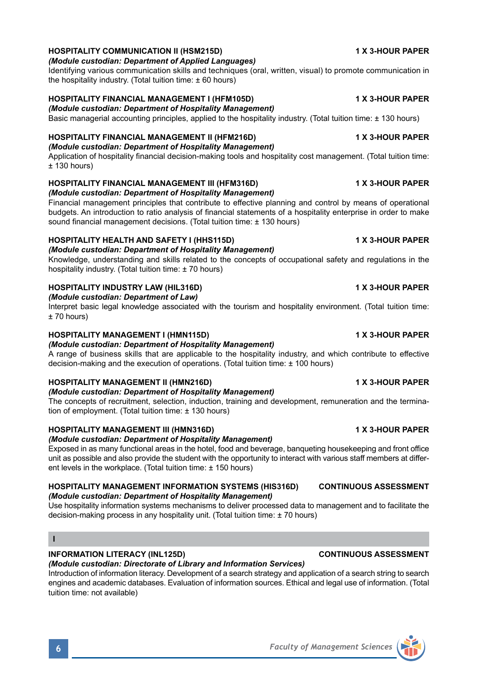### **HOSPITALITY COMMUNICATION II (HSM215D) 1 X 3-HOUR PAPER**

### *(Module custodian: Department of Applied Languages)*

Identifying various communication skills and techniques (oral, written, visual) to promote communication in the hospitality industry. (Total tuition time:  $\pm 60$  hours)

### **HOSPITALITY FINANCIAL MANAGEMENT I (HFM105D) 1 X 3-HOUR PAPER**

*(Module custodian: Department of Hospitality Management)* Basic managerial accounting principles, applied to the hospitality industry. (Total tuition time: ± 130 hours)

### **HOSPITALITY FINANCIAL MANAGEMENT II (HFM216D) 1 X 3-HOUR PAPER**

*(Module custodian: Department of Hospitality Management)* Application of hospitality financial decision-making tools and hospitality cost management. (Total tuition time:

 $± 130$  hours)

### **HOSPITALITY FINANCIAL MANAGEMENT III (HFM316D) 1 X 3-HOUR PAPER**

*(Module custodian: Department of Hospitality Management)*

Financial management principles that contribute to effective planning and control by means of operational budgets. An introduction to ratio analysis of financial statements of a hospitality enterprise in order to make sound financial management decisions. (Total tuition time: ± 130 hours)

### **HOSPITALITY HEALTH AND SAFETY I (HHS115D) 1 X 3-HOUR PAPER**

### *(Module custodian: Department of Hospitality Management)*

Knowledge, understanding and skills related to the concepts of occupational safety and regulations in the hospitality industry. (Total tuition time: ± 70 hours)

### **HOSPITALITY INDUSTRY LAW (HIL316D) 1 X 3-HOUR PAPER**

*(Module custodian: Department of Law)*

Interpret basic legal knowledge associated with the tourism and hospitality environment. (Total tuition time:  $+70$  hours)

### **HOSPITALITY MANAGEMENT I (HMN115D) 1 X 3-HOUR PAPER**

### *(Module custodian: Department of Hospitality Management)*

A range of business skills that are applicable to the hospitality industry, and which contribute to effective decision-making and the execution of operations. (Total tuition time: ± 100 hours)

### **HOSPITALITY MANAGEMENT II (HMN216D) 1 X 3-HOUR PAPER**

### *(Module custodian: Department of Hospitality Management)*

The concepts of recruitment, selection, induction, training and development, remuneration and the termination of employment. (Total tuition time: ± 130 hours)

### **HOSPITALITY MANAGEMENT III (HMN316D) 1 X 3-HOUR PAPER**

### *(Module custodian: Department of Hospitality Management)*

Exposed in as many functional areas in the hotel, food and beverage, banqueting housekeeping and front office unit as possible and also provide the student with the opportunity to interact with various staff members at different levels in the workplace. (Total tuition time: ± 150 hours)

### **HOSPITALITY MANAGEMENT INFORMATION SYSTEMS (HIS316D) CONTINUOUS ASSESSMENT** *(Module custodian: Department of Hospitality Management)*

Use hospitality information systems mechanisms to deliver processed data to management and to facilitate the decision-making process in any hospitality unit. (Total tuition time: ± 70 hours)

### **INFORMATION LITERACY (INL125D) CONTINUOUS ASSESSMENT**

### *(Module custodian: Directorate of Library and Information Services)*

Introduction of information literacy. Development of a search strategy and application of a search string to search engines and academic databases. Evaluation of information sources. Ethical and legal use of information. (Total tuition time: not available)



**I**